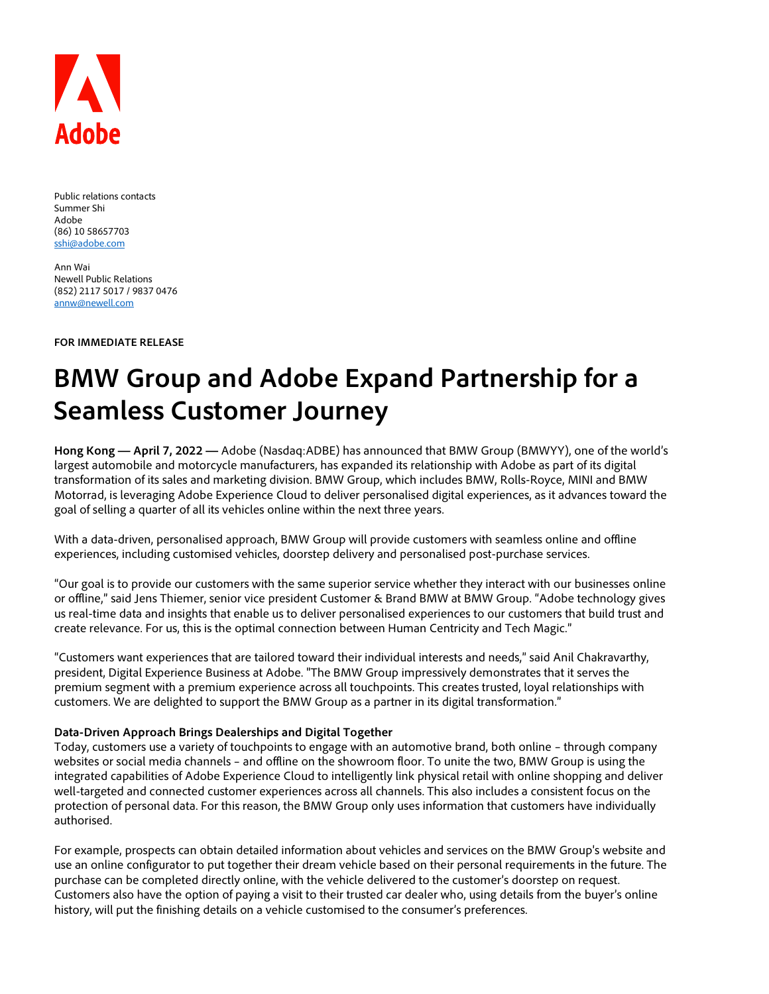

Public relations contacts Summer Shi Adobe (86) 10 58657703 [sshi@adobe.com](mailto:sshi@adobe.com)

Ann Wai Newell Public Relations (852) 2117 5017 / 9837 0476 [annw@newell.com](mailto:annw@newell.com)

**FOR IMMEDIATE RELEASE**

# **BMW Group and Adobe Expand Partnership for a Seamless Customer Journey**

**Hong Kong — April 7, 2022 —** Adobe (Nasdaq:ADBE) has announced that BMW Group (BMWYY), one of the world's largest automobile and motorcycle manufacturers, has expanded its relationship with Adobe as part of its digital transformation of its sales and marketing division. BMW Group, which includes BMW, Rolls-Royce, MINI and BMW Motorrad, is leveraging Adobe Experience Cloud to deliver personalised digital experiences, as it advances toward the goal of selling a quarter of all its vehicles online within the next three years.

With a data-driven, personalised approach, BMW Group will provide customers with seamless online and offline experiences, including customised vehicles, doorstep delivery and personalised post-purchase services.

"Our goal is to provide our customers with the same superior service whether they interact with our businesses online or offline," said Jens Thiemer, senior vice president Customer & Brand BMW at BMW Group. "Adobe technology gives us real-time data and insights that enable us to deliver personalised experiences to our customers that build trust and create relevance. For us, this is the optimal connection between Human Centricity and Tech Magic."

"Customers want experiences that are tailored toward their individual interests and needs," said Anil Chakravarthy, president, Digital Experience Business at Adobe. "The BMW Group impressively demonstrates that it serves the premium segment with a premium experience across all touchpoints. This creates trusted, loyal relationships with customers. We are delighted to support the BMW Group as a partner in its digital transformation."

#### **Data-Driven Approach Brings Dealerships and Digital Together**

Today, customers use a variety of touchpoints to engage with an automotive brand, both online – through company websites or social media channels – and offline on the showroom floor. To unite the two, BMW Group is using the integrated capabilities of Adobe Experience Cloud to intelligently link physical retail with online shopping and deliver well-targeted and connected customer experiences across all channels. This also includes a consistent focus on the protection of personal data. For this reason, the BMW Group only uses information that customers have individually authorised.

For example, prospects can obtain detailed information about vehicles and services on the BMW Group's website and use an online configurator to put together their dream vehicle based on their personal requirements in the future. The purchase can be completed directly online, with the vehicle delivered to the customer's doorstep on request. Customers also have the option of paying a visit to their trusted car dealer who, using details from the buyer's online history, will put the finishing details on a vehicle customised to the consumer's preferences.